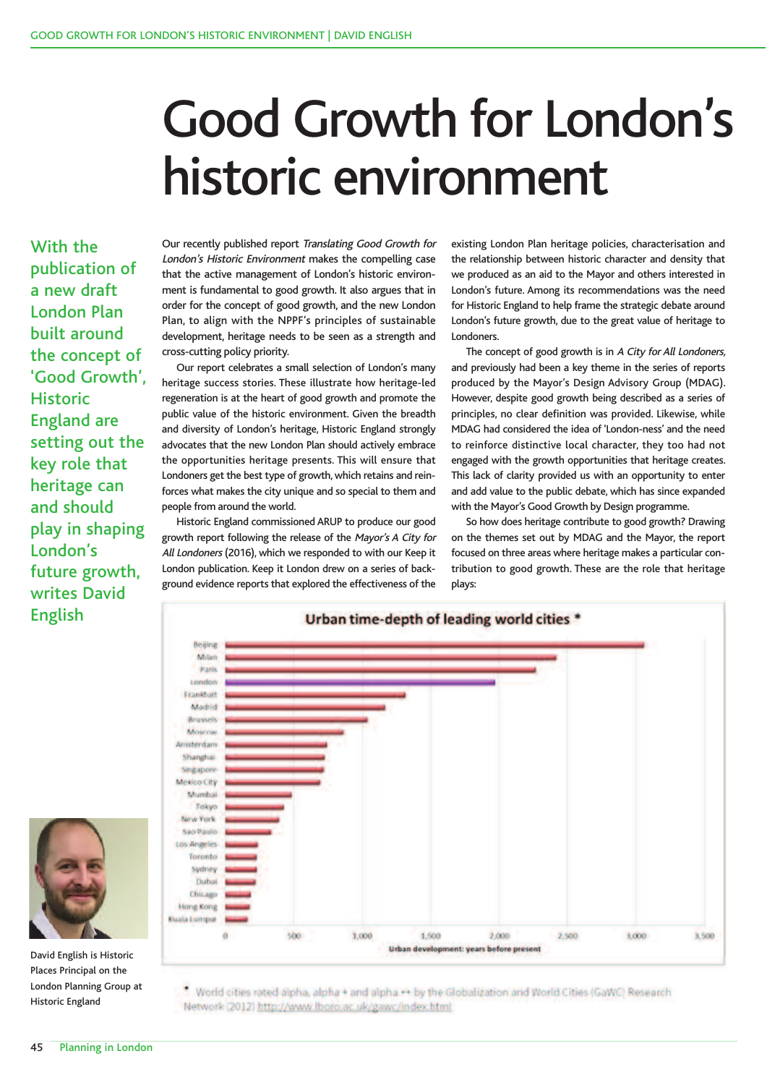## Good Growth for London's historic environment

With the publication of a new draft London Plan built around the concept of 'Good Growth', **Historic** England are setting out the key role that heritage can and should play in shaping London's future growth, writes David English

Our recently published report Translating Good Growth for London's Historic Environment makes the compelling case that the active management of London's historic environment is fundamental to good growth. It also argues that in order for the concept of good growth, and the new London Plan, to align with the NPPF's principles of sustainable development, heritage needs to be seen as a strength and cross-cutting policy priority.

Our report celebrates a small selection of London's many heritage success stories. These illustrate how heritage-led regeneration is at the heart of good growth and promote the public value of the historic environment. Given the breadth and diversity of London's heritage, Historic England strongly advocates that the new London Plan should actively embrace the opportunities heritage presents. This will ensure that Londoners get the best type of growth, which retains and reinforces what makes the city unique and so special to them and people from around the world.

Historic England commissioned ARUP to produce our good growth report following the release of the Mayor's <sup>A</sup> City for All Londoners (2016), which we responded to with our Keep it London publication. Keep it London drew on a series of background evidence reports that explored the effectiveness of the

existing London Plan heritage policies, characterisation and the relationship between historic character and density that we produced as an aid to the Mayor and others interested in London's future. Among its recommendations was the need for Historic England to help frame the strategic debate around London's future growth, due to the great value of heritage to **Londoners** 

The concept of good growth is in <sup>A</sup> City for All Londoners, and previously had been a key theme in the series of reports produced by the Mayor's Design Advisory Group (MDAG). However, despite good growth being described as a series of principles, no clear definition was provided. Likewise, while MDAG had considered the idea of 'London-ness' and the need to reinforce distinctive local character, they too had not engaged with the growth opportunities that heritage creates. This lack of clarity provided us with an opportunity to enter and add value to the public debate, which has since expanded with the Mayor's Good Growth by Design programme.

So how does heritage contribute to good growth? Drawing on the themes set out by MDAG and the Mayor, the report focused on three areas where heritage makes a particular contribution to good growth. These are the role that heritage plays:



World cities rated alpha, alpha + and alpha ++ by the Globalization and World Cities (GaWC) Research Network (2012) http://www.lboro.ac.uk/gawc/index.html



David English is Historic Places Principal on the London Planning Group at Historic England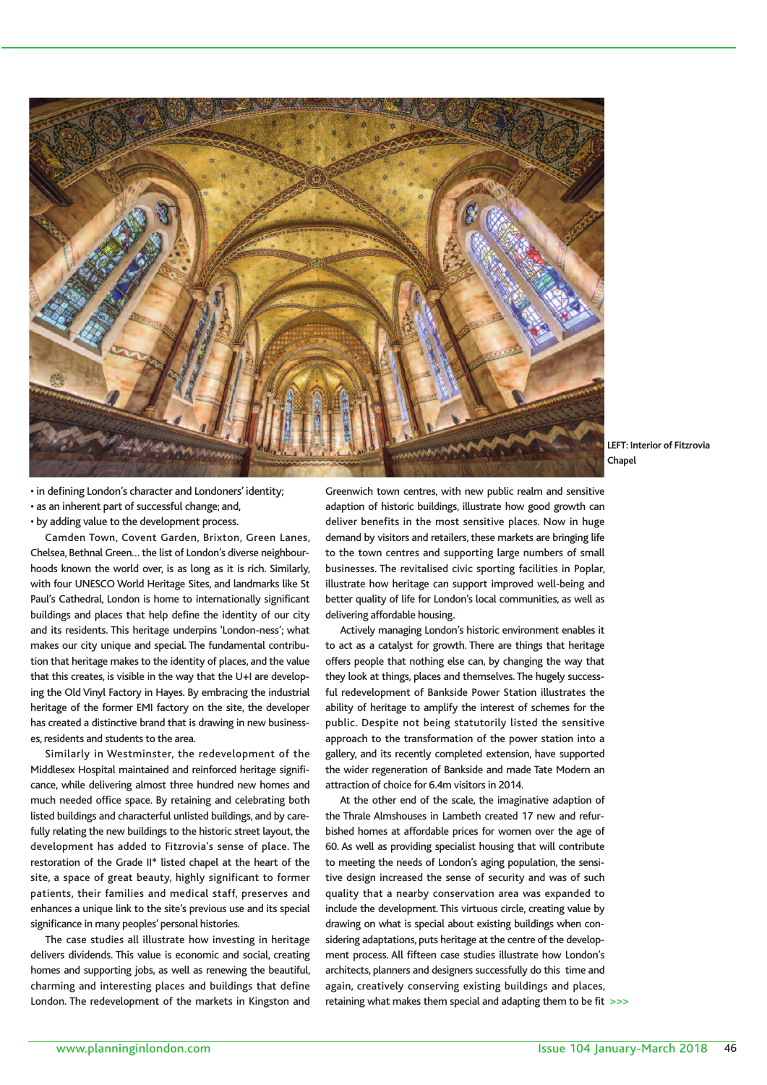

**LEFT: Interior of Fitzrovia Chapel**

• in defining London's character and Londoners' identity; • as an inherent part of successful change; and,

• by adding value to the development process.

Camden Town, Covent Garden, Brixton, Green Lanes, Chelsea, Bethnal Green… the list of London's diverse neighbourhoods known the world over, is as long as it is rich. Similarly, with four UNESCO World Heritage Sites, and landmarks like St Paul's Cathedral, London is home to internationally significant buildings and places that help define the identity of our city and its residents. This heritage underpins 'London-ness'; what makes our city unique and special. The fundamental contribution that heritage makes to the identity of places, and the value that this creates, is visible in the way that the U+I are developing the Old Vinyl Factory in Hayes. By embracing the industrial heritage of the former EMI factory on the site, the developer has created a distinctive brand that is drawing in new businesses,residents and students to the area.

Similarly in Westminster, the redevelopment of the Middlesex Hospital maintained and reinforced heritage significance, while delivering almost three hundred new homes and much needed office space. By retaining and celebrating both listed buildings and characterful unlisted buildings, and by carefully relating the new buildings to the historic street layout, the development has added to Fitzrovia's sense of place. The restoration of the Grade II\* listed chapel at the heart of the site, a space of great beauty, highly significant to former patients, their families and medical staff, preserves and enhances a unique link to the site's previous use and its special significance in many peoples' personal histories.

The case studies all illustrate how investing in heritage delivers dividends. This value is economic and social, creating homes and supporting jobs, as well as renewing the beautiful, charming and interesting places and buildings that define London. The redevelopment of the markets in Kingston and

Greenwich town centres, with new public realm and sensitive adaption of historic buildings, illustrate how good growth can deliver benefits in the most sensitive places. Now in huge demand by visitors and retailers, these markets are bringing life to the town centres and supporting large numbers of small businesses. The revitalised civic sporting facilities in Poplar, illustrate how heritage can support improved well-being and better quality of life for London's local communities, as well as delivering affordable housing.

Actively managing London's historic environment enables it to act as a catalyst for growth. There are things that heritage offers people that nothing else can, by changing the way that they look at things, places and themselves.The hugely successful redevelopment of Bankside Power Station illustrates the ability of heritage to amplify the interest of schemes for the public. Despite not being statutorily listed the sensitive approach to the transformation of the power station into a gallery, and its recently completed extension, have supported the wider regeneration of Bankside and made Tate Modern an attraction of choice for 6.4m visitors in 2014.

At the other end of the scale, the imaginative adaption of the Thrale Almshouses in Lambeth created 17 new and refurbished homes at affordable prices for women over the age of 60. As well as providing specialist housing that will contribute to meeting the needs of London's aging population, the sensitive design increased the sense of security and was of such quality that a nearby conservation area was expanded to include the development. This virtuous circle, creating value by drawing on what is special about existing buildings when considering adaptations, puts heritage at the centre of the development process. All fifteen case studies illustrate how London's architects, planners and designers successfully do this time and again, creatively conserving existing buildings and places, retaining what makes them special and adapting them to be fit >>>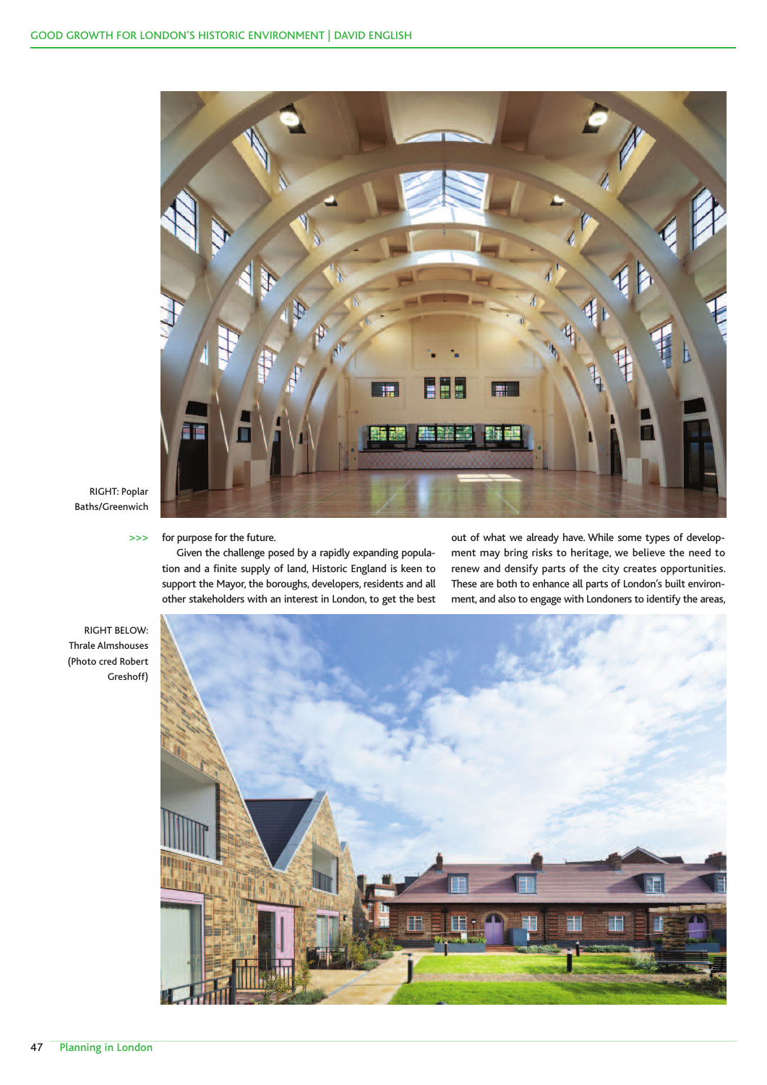

RIGHT: Poplar Baths/Greenwich

## for purpose for the future.  $>$

Given the challenge posed by a rapidly expanding population and a finite supply of land, Historic England is keen to support the Mayor, the boroughs, developers, residents and all other stakeholders with an interest in London, to get the best out of what we already have. While some types of development may bring risks to heritage, we believe the need to renew and densify parts of the city creates opportunities. These are both to enhance all parts of London's built environment, and also to engage with Londoners to identify the areas,

RIGHT BELOW: Thrale Almshouses (Photo cred Robert Greshoff)